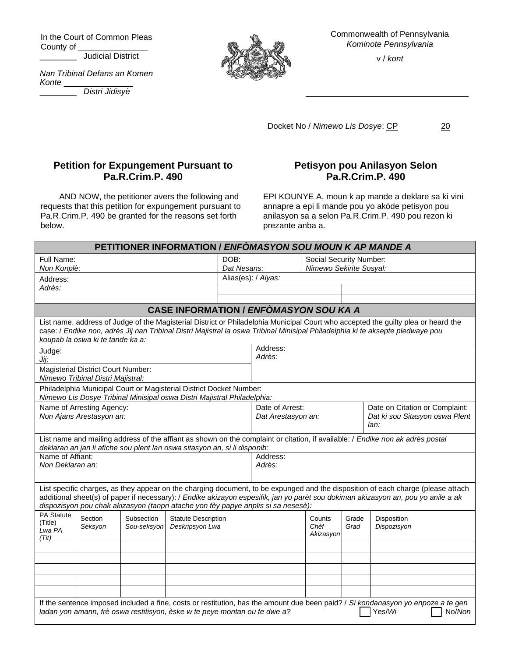In the Court of Common Pleas County of \_

\_\_\_\_\_\_\_\_ Judicial District

*Nan Tribinal Defans an Komen Konte* \_\_\_\_\_\_\_\_\_\_\_\_\_\_\_





Commonwealth of Pennsylvania *Kominote Pennsylvania*

v / *kont*

\_\_\_\_\_\_\_\_\_\_\_\_\_\_\_\_\_\_\_\_\_\_\_\_\_\_\_\_\_\_\_\_

Docket No / Nimewo Lis Dosye: CP 20

## **Petition for Expungement Pursuant to Pa.R.Crim.P. 490**

AND NOW, the petitioner avers the following and requests that this petition for expungement pursuant to Pa.R.Crim.P. 490 be granted for the reasons set forth below.

## **Petisyon pou Anilasyon Selon Pa.R.Crim.P. 490**

EPI KOUNYE A, moun k ap mande a deklare sa ki vini annapre a epi li mande pou yo akòde petisyon pou anilasyon sa a selon Pa.R.Crim.P. 490 pou rezon ki prezante anba a.

| <b>PETITIONER INFORMATION / ENFOMASYON SOU MOUN K AP MANDE A</b>                                                                                                                                                                                                                                                                                           |                                                                                |                           |                                               |                     |                                                                                                                   |                             |               |                            |  |
|------------------------------------------------------------------------------------------------------------------------------------------------------------------------------------------------------------------------------------------------------------------------------------------------------------------------------------------------------------|--------------------------------------------------------------------------------|---------------------------|-----------------------------------------------|---------------------|-------------------------------------------------------------------------------------------------------------------|-----------------------------|---------------|----------------------------|--|
| Full Name:                                                                                                                                                                                                                                                                                                                                                 |                                                                                |                           | DOB:                                          |                     |                                                                                                                   | Social Security Number:     |               |                            |  |
| Non Konplè:                                                                                                                                                                                                                                                                                                                                                |                                                                                |                           | Dat Nesans:                                   |                     | Nimewo Sekirite Sosyal:                                                                                           |                             |               |                            |  |
| Address:                                                                                                                                                                                                                                                                                                                                                   |                                                                                |                           |                                               | Alias(es): / Alyas: |                                                                                                                   |                             |               |                            |  |
| Adrès:                                                                                                                                                                                                                                                                                                                                                     |                                                                                |                           |                                               |                     |                                                                                                                   |                             |               |                            |  |
|                                                                                                                                                                                                                                                                                                                                                            |                                                                                |                           |                                               |                     |                                                                                                                   |                             |               |                            |  |
| <b>CASE INFORMATION / ENFOMASYON SOU KA A</b>                                                                                                                                                                                                                                                                                                              |                                                                                |                           |                                               |                     |                                                                                                                   |                             |               |                            |  |
| List name, address of Judge of the Magisterial District or Philadelphia Municipal Court who accepted the guilty plea or heard the<br>case: / Endike non, adrès Jij nan Tribinal Distri Majistral la oswa Tribinal Minisipal Philadelphia ki te aksepte pledwaye pou<br>koupab la oswa ki te tande ka a:                                                    |                                                                                |                           |                                               |                     |                                                                                                                   |                             |               |                            |  |
| Judge:                                                                                                                                                                                                                                                                                                                                                     |                                                                                |                           |                                               |                     | Address:<br>Adrès:                                                                                                |                             |               |                            |  |
| Jij:                                                                                                                                                                                                                                                                                                                                                       |                                                                                |                           |                                               |                     |                                                                                                                   |                             |               |                            |  |
|                                                                                                                                                                                                                                                                                                                                                            | <b>Magisterial District Court Number:</b><br>Nimewo Tribinal Distri Majistral: |                           |                                               |                     |                                                                                                                   |                             |               |                            |  |
| Philadelphia Municipal Court or Magisterial District Docket Number:<br>Nimewo Lis Dosye Tribinal Minisipal oswa Distri Majistral Philadelphia:                                                                                                                                                                                                             |                                                                                |                           |                                               |                     |                                                                                                                   |                             |               |                            |  |
| Name of Arresting Agency:                                                                                                                                                                                                                                                                                                                                  |                                                                                |                           |                                               |                     | Date of Arrest:<br>Date on Citation or Complaint:<br>Dat ki sou Sitasyon oswa Plent<br>Dat Arestasyon an:<br>lan: |                             |               |                            |  |
| Non Ajans Arestasyon an:                                                                                                                                                                                                                                                                                                                                   |                                                                                |                           |                                               |                     |                                                                                                                   |                             |               |                            |  |
| List name and mailing address of the affiant as shown on the complaint or citation, if available: / Endike non ak adrès postal<br>deklaran an jan li afiche sou plent lan oswa sitasyon an, si li disponib:                                                                                                                                                |                                                                                |                           |                                               |                     |                                                                                                                   |                             |               |                            |  |
| Name of Affiant:                                                                                                                                                                                                                                                                                                                                           |                                                                                |                           |                                               |                     | Address:                                                                                                          |                             |               |                            |  |
| Non Deklaran an:                                                                                                                                                                                                                                                                                                                                           |                                                                                |                           |                                               |                     | Adrès:                                                                                                            |                             |               |                            |  |
| List specific charges, as they appear on the charging document, to be expunged and the disposition of each charge (please attach<br>additional sheet(s) of paper if necessary): / Endike akizayon espesifik, jan yo parèt sou dokiman akizasyon an, pou yo anile a ak<br>dispozisyon pou chak akizasyon (tanpri atache yon fèy papye anplis si sa nesesè): |                                                                                |                           |                                               |                     |                                                                                                                   |                             |               |                            |  |
| PA Statute<br>(Title)<br>Lwa PA<br>(Tit)                                                                                                                                                                                                                                                                                                                   | Section<br>Seksyon                                                             | Subsection<br>Sou-seksyon | <b>Statute Description</b><br>Deskripsyon Lwa |                     |                                                                                                                   | Counts<br>Chèf<br>Akizasyon | Grade<br>Grad | Disposition<br>Dispozisyon |  |
|                                                                                                                                                                                                                                                                                                                                                            |                                                                                |                           |                                               |                     |                                                                                                                   |                             |               |                            |  |
|                                                                                                                                                                                                                                                                                                                                                            |                                                                                |                           |                                               |                     |                                                                                                                   |                             |               |                            |  |
|                                                                                                                                                                                                                                                                                                                                                            |                                                                                |                           |                                               |                     |                                                                                                                   |                             |               |                            |  |
|                                                                                                                                                                                                                                                                                                                                                            |                                                                                |                           |                                               |                     |                                                                                                                   |                             |               |                            |  |
|                                                                                                                                                                                                                                                                                                                                                            |                                                                                |                           |                                               |                     |                                                                                                                   |                             |               |                            |  |
| If the sentence imposed included a fine, costs or restitution, has the amount due been paid? / Si kondanasyon yo enpoze a te gen<br>ladan yon amann, frè oswa restitisyon, èske w te peye montan ou te dwe a?<br>Yes/Wi<br>No/Non                                                                                                                          |                                                                                |                           |                                               |                     |                                                                                                                   |                             |               |                            |  |